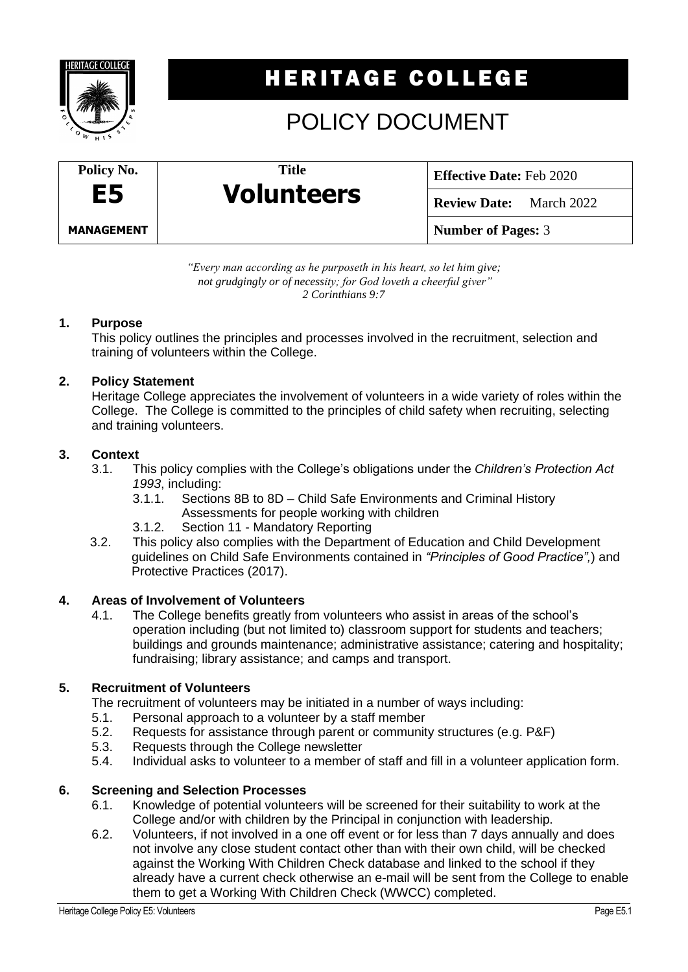

# **HERITAGE COLLEGE**

# POLICY DOCUMENT



**Effective Date:** Feb 2020

**Review Date:** March 2022

**Number of Pages:** 3

*"Every man according as he purposeth in his heart, so let him give; not grudgingly or of necessity; for God loveth a cheerful giver" 2 Corinthians 9:7*

**Title**

**Volunteers**

### **1. Purpose**

This policy outlines the principles and processes involved in the recruitment, selection and training of volunteers within the College.

## **2. Policy Statement**

Heritage College appreciates the involvement of volunteers in a wide variety of roles within the College. The College is committed to the principles of child safety when recruiting, selecting and training volunteers.

## **3. Context**

- 3.1. This policy complies with the College's obligations under the *Children's Protection Act 1993*, including:
	- Sections 8B to 8D Child Safe Environments and Criminal History Assessments for people working with children
	- 3.1.2. Section 11 Mandatory Reporting
- 3.2. This policy also complies with the Department of Education and Child Development guidelines on Child Safe Environments contained in *"Principles of Good Practice",*) and Protective Practices (2017).

### **4. Areas of Involvement of Volunteers**

4.1. The College benefits greatly from volunteers who assist in areas of the school's operation including (but not limited to) classroom support for students and teachers; buildings and grounds maintenance; administrative assistance; catering and hospitality; fundraising; library assistance; and camps and transport.

## **5. Recruitment of Volunteers**

The recruitment of volunteers may be initiated in a number of ways including:

- 5.1. Personal approach to a volunteer by a staff member
- 5.2. Requests for assistance through parent or community structures (e.g. P&F)
- 5.3. Requests through the College newsletter
- 5.4. Individual asks to volunteer to a member of staff and fill in a volunteer application form.

### **6. Screening and Selection Processes**

- 6.1. Knowledge of potential volunteers will be screened for their suitability to work at the College and/or with children by the Principal in conjunction with leadership.
- 6.2. Volunteers, if not involved in a one off event or for less than 7 days annually and does not involve any close student contact other than with their own child, will be checked against the Working With Children Check database and linked to the school if they already have a current check otherwise an e-mail will be sent from the College to enable them to get a Working With Children Check (WWCC) completed.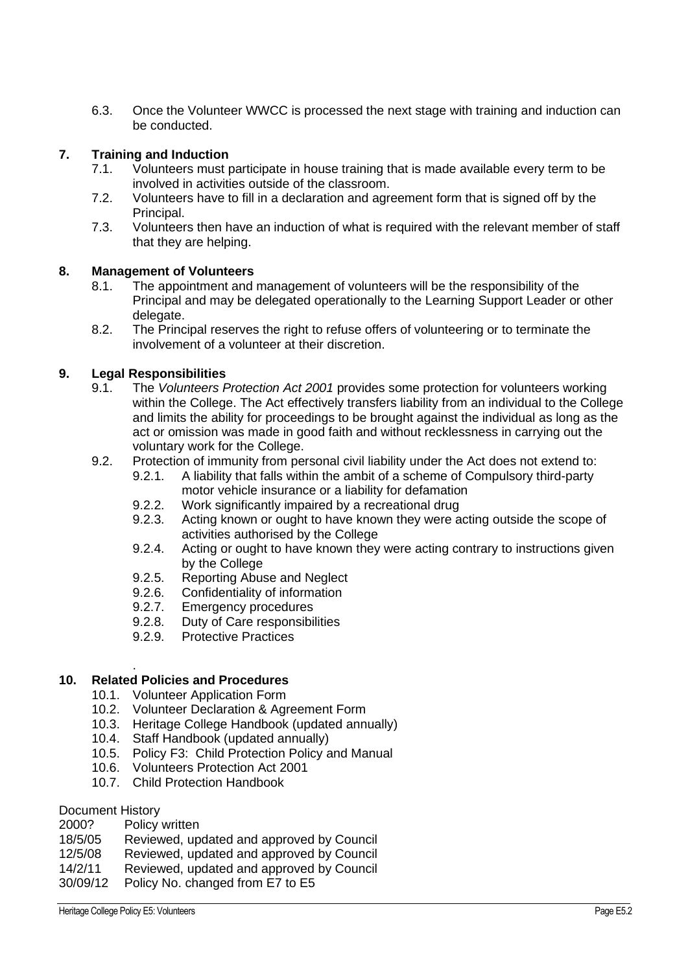6.3. Once the Volunteer WWCC is processed the next stage with training and induction can be conducted.

#### **7. Training and Induction**

- 7.1. Volunteers must participate in house training that is made available every term to be involved in activities outside of the classroom.
- 7.2. Volunteers have to fill in a declaration and agreement form that is signed off by the Principal.
- 7.3. Volunteers then have an induction of what is required with the relevant member of staff that they are helping.

#### **8. Management of Volunteers**

- 8.1. The appointment and management of volunteers will be the responsibility of the Principal and may be delegated operationally to the Learning Support Leader or other delegate.
- 8.2. The Principal reserves the right to refuse offers of volunteering or to terminate the involvement of a volunteer at their discretion.

#### **9. Legal Responsibilities**

- 9.1. The *Volunteers Protection Act 2001* provides some protection for volunteers working within the College. The Act effectively transfers liability from an individual to the College and limits the ability for proceedings to be brought against the individual as long as the act or omission was made in good faith and without recklessness in carrying out the voluntary work for the College.
- 9.2. Protection of immunity from personal civil liability under the Act does not extend to:
	- 9.2.1. A liability that falls within the ambit of a scheme of Compulsory third-party motor vehicle insurance or a liability for defamation
	- 9.2.2. Work significantly impaired by a recreational drug
	- 9.2.3. Acting known or ought to have known they were acting outside the scope of activities authorised by the College
	- 9.2.4. Acting or ought to have known they were acting contrary to instructions given by the College
	- 9.2.5. Reporting Abuse and Neglect
	- 9.2.6. Confidentiality of information
	- 9.2.7. Emergency procedures
	- 9.2.8. Duty of Care responsibilities
	- 9.2.9. Protective Practices

#### **10. Related Policies and Procedures**

- 10.1. Volunteer Application Form
- 10.2. Volunteer Declaration & Agreement Form
- 10.3. Heritage College Handbook (updated annually)
- 10.4. Staff Handbook (updated annually)
- 10.5. Policy F3: Child Protection Policy and Manual
- 10.6. Volunteers Protection Act 2001
- 10.7. Child Protection Handbook

#### Document History

.

- 18/5/05 Reviewed, updated and approved by Council<br>12/5/08 Reviewed, updated and approved by Council
- Reviewed, updated and approved by Council
- 14/2/11 Reviewed, updated and approved by Council
- 30/09/12 Policy No. changed from E7 to E5